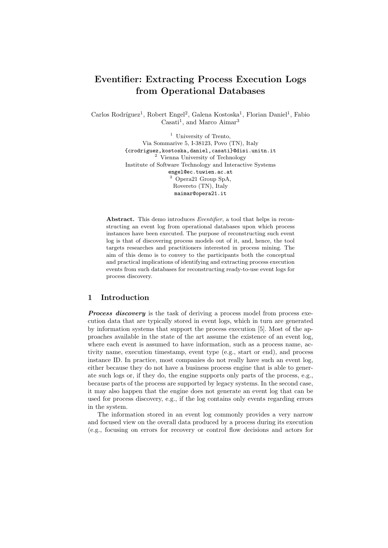# Eventifier: Extracting Process Execution Logs from Operational Databases

Carlos Rodríguez<sup>1</sup>, Robert Engel<sup>2</sup>, Galena Kostoska<sup>1</sup>, Florian Daniel<sup>1</sup>, Fabio Casati<sup>1</sup>, and Marco Aimar<sup>3</sup>

> <sup>1</sup> University of Trento, Via Sommarive 5, I-38123, Povo (TN), Italy {crodriguez,kostoska,daniel,casati}@disi.unitn.it <sup>2</sup> Vienna University of Technology Institute of Software Technology and Interactive Systems engel@ec.tuwien.ac.at <sup>3</sup> Opera21 Group SpA, Rovereto (TN), Italy maimar@opera21.it

Abstract. This demo introduces *Eventifier*, a tool that helps in reconstructing an event log from operational databases upon which process instances have been executed. The purpose of reconstructing such event log is that of discovering process models out of it, and, hence, the tool targets researches and practitioners interested in process mining. The aim of this demo is to convey to the participants both the conceptual and practical implications of identifying and extracting process execution events from such databases for reconstructing ready-to-use event logs for process discovery.

## 1 Introduction

**Process discovery** is the task of deriving a process model from process execution data that are typically stored in event logs, which in turn are generated by information systems that support the process execution [5]. Most of the approaches available in the state of the art assume the existence of an event log, where each event is assumed to have information, such as a process name, activity name, execution timestamp, event type (e.g., start or end), and process instance ID. In practice, most companies do not really have such an event log, either because they do not have a business process engine that is able to generate such logs or, if they do, the engine supports only parts of the process, e.g., because parts of the process are supported by legacy systems. In the second case, it may also happen that the engine does not generate an event log that can be used for process discovery, e.g., if the log contains only events regarding errors in the system.

The information stored in an event log commonly provides a very narrow and focused view on the overall data produced by a process during its execution (e.g., focusing on errors for recovery or control flow decisions and actors for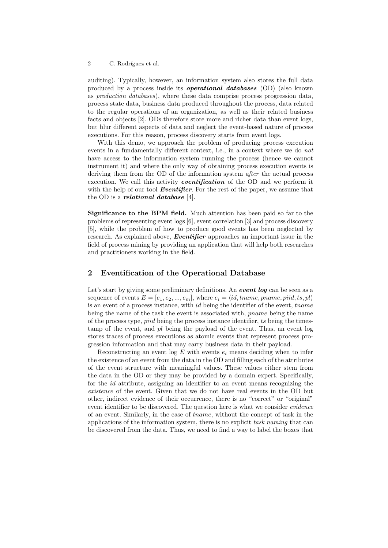#### 2 C. Rodríguez et al.

auditing). Typically, however, an information system also stores the full data produced by a process inside its operational databases (OD) (also known as production databases), where these data comprise process progression data, process state data, business data produced throughout the process, data related to the regular operations of an organization, as well as their related business facts and objects [2]. ODs therefore store more and richer data than event logs, but blur different aspects of data and neglect the event-based nature of process executions. For this reason, process discovery starts from event logs.

With this demo, we approach the problem of producing process execution events in a fundamentally different context, i.e., in a context where we do not have access to the information system running the process (hence we cannot instrument it) and where the only way of obtaining process execution events is deriving them from the OD of the information system *after* the actual process execution. We call this activity **eventification** of the OD and we perform it with the help of our tool **Eventifier**. For the rest of the paper, we assume that the OD is a relational database  $[4]$ .

Significance to the BPM field. Much attention has been paid so far to the problems of representing event logs [6], event correlation [3] and process discovery [5], while the problem of how to produce good events has been neglected by research. As explained above, **Eventifier** approaches an important issue in the field of process mining by providing an application that will help both researches and practitioners working in the field.

## 2 Eventification of the Operational Database

Let's start by giving some preliminary definitions. An event log can be seen as a sequence of events  $E = [e_1, e_2, ..., e_m]$ , where  $e_i = \langle id, \text{tname}, \text{pname}, \text{p}_i \rangle$ is an event of a process instance, with id being the identifier of the event, tname being the name of the task the event is associated with, pname being the name of the process type, piid being the process instance identifier, ts being the timestamp of the event, and pl being the payload of the event. Thus, an event log stores traces of process executions as atomic events that represent process progression information and that may carry business data in their payload.

Reconstructing an event log  $E$  with events  $e_i$  means deciding when to infer the existence of an event from the data in the OD and filling each of the attributes of the event structure with meaningful values. These values either stem from the data in the OD or they may be provided by a domain expert. Specifically, for the id attribute, assigning an identifier to an event means recognizing the existence of the event. Given that we do not have real events in the OD but other, indirect evidence of their occurrence, there is no "correct" or "original" event identifier to be discovered. The question here is what we consider *evidence* of an event. Similarly, in the case of tname, without the concept of task in the applications of the information system, there is no explicit task naming that can be discovered from the data. Thus, we need to find a way to label the boxes that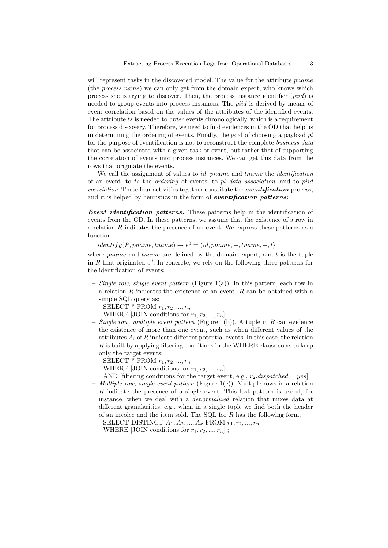will represent tasks in the discovered model. The value for the attribute *pname* (the process name) we can only get from the domain expert, who knows which process she is trying to discover. Then, the process instance identifier (piid) is needed to group events into process instances. The piid is derived by means of event correlation based on the values of the attributes of the identified events. The attribute ts is needed to *order* events chronologically, which is a requirement for process discovery. Therefore, we need to find evidences in the OD that help us in determining the ordering of events. Finally, the goal of choosing a payload  $pl$ for the purpose of eventification is not to reconstruct the complete business data that can be associated with a given task or event, but rather that of supporting the correlation of events into process instances. We can get this data from the rows that originate the events.

We call the assignment of values to *id*, *pname* and *tname* the *identification* of an event, to ts the ordering of events, to pl data association, and to piid correlation. These four activities together constitute the *eventification* process. and it is helped by heuristics in the form of *eventification patterns*:

Event identification patterns. These patterns help in the identification of events from the OD. In these patterns, we assume that the existence of a row in a relation R indicates the presence of an event. We express these patterns as a function:

 $identity(R, pname, tname) \rightarrow e^0 = \langle id, pname, -, tname, -, t \rangle$ 

where *pname* and *tname* are defined by the domain expert, and  $t$  is the tuple in R that originated  $e^0$ . In concrete, we rely on the following three patterns for the identification of events:

– Single row, single event pattern (Figure 1(a)). In this pattern, each row in a relation R indicates the existence of an event. R can be obtained with a simple SQL query as:

SELECT  $*$  FROM  $r_1, r_2, ..., r_n$ 

WHERE [JOIN conditions for  $r_1, r_2, ..., r_n$ ];

– Single row, multiple event pattern (Figure 1(b)). A tuple in  $R$  can evidence the existence of more than one event, such as when different values of the attributes  $A_i$  of R indicate different potential events. In this case, the relation  $R$  is built by applying filtering conditions in the WHERE clause so as to keep only the target events:

SELECT  $*$  FROM  $r_1, r_2, ..., r_n$ 

WHERE [JOIN conditions for  $r_1, r_2, ..., r_n$ ]

AND [filtering conditions for the target event, e.g.,  $r_2$  dispatched = yes]; – *Multiple row, single event pattern* (Figure 1(c)). Multiple rows in a relation

R indicate the presence of a single event. This last pattern is useful, for instance, when we deal with a denormalized relation that mixes data at different granularities, e.g., when in a single tuple we find both the header of an invoice and the item sold. The SQL for R has the following form,

SELECT DISTINCT  $A_1, A_2, ..., A_k$  FROM  $r_1, r_2, ..., r_n$ WHERE [JOIN conditions for  $r_1, r_2, ..., r_n$ ];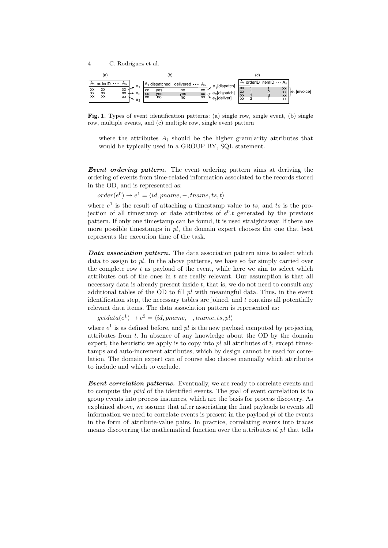4 C. Rodríguez et al.



Fig. 1. Types of event identification patterns: (a) single row, single event, (b) single row, multiple events, and (c) multiple row, single event pattern

where the attributes  $A_i$  should be the higher granularity attributes that would be typically used in a GROUP BY, SQL statement.

Event ordering pattern. The event ordering pattern aims at deriving the ordering of events from time-related information associated to the records stored in the OD, and is represented as:

 $order(e^0) \rightarrow e^1 = \langle id, paname, -, taname, ts, t \rangle$ 

where  $e^1$  is the result of attaching a timestamp value to ts, and ts is the projection of all timestamp or date attributes of  $e^0$ . t generated by the previous pattern. If only one timestamp can be found, it is used straightaway. If there are more possible timestamps in  $pl$ , the domain expert chooses the one that best represents the execution time of the task.

Data association pattern. The data association pattern aims to select which data to assign to  $pl$ . In the above patterns, we have so far simply carried over the complete row  $t$  as payload of the event, while here we aim to select which attributes out of the ones in  $t$  are really relevant. Our assumption is that all necessary data is already present inside  $t$ , that is, we do not need to consult any additional tables of the OD to fill  $pl$  with meaningful data. Thus, in the event identification step, the necessary tables are joined, and  $t$  contains all potentially relevant data items. The data association pattern is represented as:

 $getdata(e<sup>1</sup>) \rightarrow e<sup>2</sup> = \langle id, paname, -, taname, ts, pl \rangle$ 

where  $e^1$  is as defined before, and pl is the new payload computed by projecting attributes from t. In absence of any knowledge about the OD by the domain expert, the heuristic we apply is to copy into  $pl$  all attributes of  $t$ , except timestamps and auto-increment attributes, which by design cannot be used for correlation. The domain expert can of course also choose manually which attributes to include and which to exclude.

**Event correlation patterns.** Eventually, we are ready to correlate events and to compute the piid of the identified events. The goal of event correlation is to group events into process instances, which are the basis for process discovery. As explained above, we assume that after associating the final payloads to events all information we need to correlate events is present in the payload  $pl$  of the events in the form of attribute-value pairs. In practice, correlating events into traces means discovering the mathematical function over the attributes of  $pl$  that tells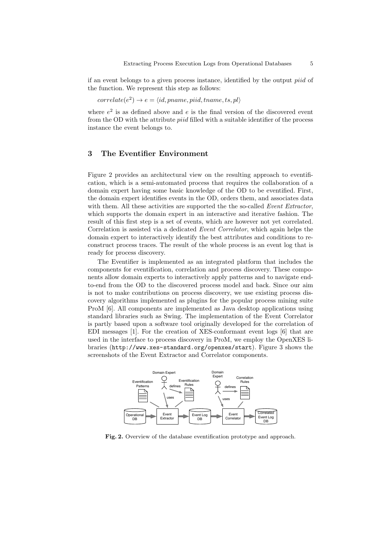if an event belongs to a given process instance, identified by the output piid of the function. We represent this step as follows:

 $correlate(e^2) \rightarrow e = \langle id, paname, piid, tranne, ts, pl \rangle$ 

where  $e^2$  is as defined above and e is the final version of the discovered event from the OD with the attribute *piid* filled with a suitable identifier of the process instance the event belongs to.

# 3 The Eventifier Environment

Figure 2 provides an architectural view on the resulting approach to eventification, which is a semi-automated process that requires the collaboration of a domain expert having some basic knowledge of the OD to be eventified. First, the domain expert identifies events in the OD, orders them, and associates data with them. All these activities are supported the the so-called Event Extractor, which supports the domain expert in an interactive and iterative fashion. The result of this first step is a set of events, which are however not yet correlated. Correlation is assisted via a dedicated Event Correlator, which again helps the domain expert to interactively identify the best attributes and conditions to reconstruct process traces. The result of the whole process is an event log that is ready for process discovery.

The Eventifier is implemented as an integrated platform that includes the components for eventification, correlation and process discovery. These components allow domain experts to interactively apply patterns and to navigate endto-end from the OD to the discovered process model and back. Since our aim is not to make contributions on process discovery, we use existing process discovery algorithms implemented as plugins for the popular process mining suite ProM [6]. All components are implemented as Java desktop applications using standard libraries such as Swing. The implementation of the Event Correlator is partly based upon a software tool originally developed for the correlation of EDI messages [1]. For the creation of XES-conformant event logs [6] that are used in the interface to process discovery in ProM, we employ the OpenXES libraries (http://www.xes-standard.org/openxes/start). Figure 3 shows the screenshots of the Event Extractor and Correlator components.



Fig. 2. Overview of the database eventification prototype and approach.